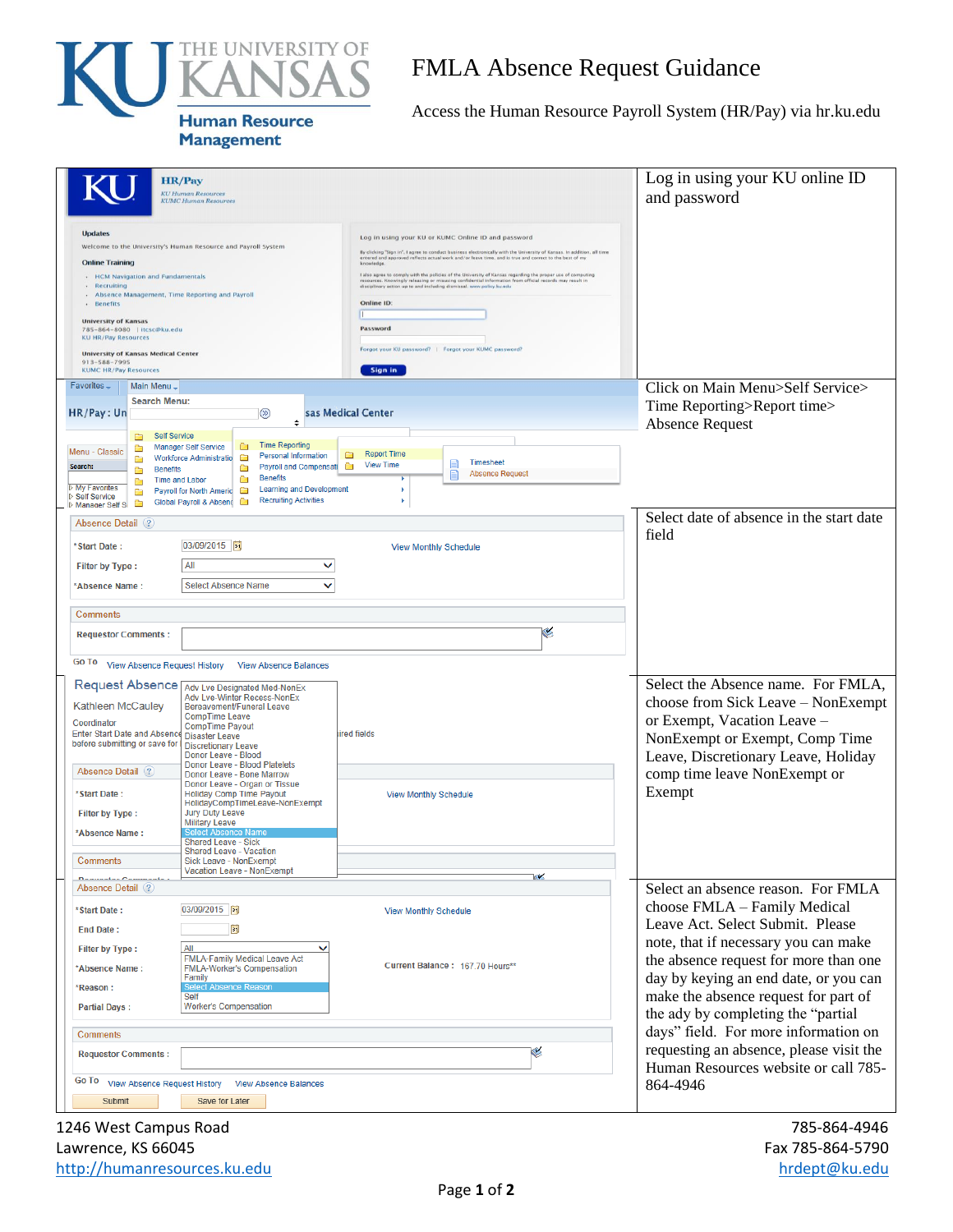

## FMLA Absence Request Guidance

Access the Human Resource Payroll System (HR/Pay) via hr.ku.edu

| <b>HR/Pay</b><br><b>KU Human Resources</b><br><b>KUMC Human Resources</b>                                                                                                                                                                                                                                                                                                                                                                                                                                                                             |                                                                                                                                                                                                                                                                                                                                                                                                                                                                                                                                                                                                                                                                                                    | Log in using your KU online ID<br>and password                                                                                                                                                                                                                                                                 |
|-------------------------------------------------------------------------------------------------------------------------------------------------------------------------------------------------------------------------------------------------------------------------------------------------------------------------------------------------------------------------------------------------------------------------------------------------------------------------------------------------------------------------------------------------------|----------------------------------------------------------------------------------------------------------------------------------------------------------------------------------------------------------------------------------------------------------------------------------------------------------------------------------------------------------------------------------------------------------------------------------------------------------------------------------------------------------------------------------------------------------------------------------------------------------------------------------------------------------------------------------------------------|----------------------------------------------------------------------------------------------------------------------------------------------------------------------------------------------------------------------------------------------------------------------------------------------------------------|
| <b>Updates</b><br>Welcome to the University's Human Resource and Payroll System<br><b>Online Training</b><br>• HCM Navigation and Fundamentals<br>· Recruiting<br>- Absence Management, Time Reporting and Payroll<br>· Benefits<br><b>University of Kansas</b><br>785-864-8080   itcsc@ku.edu<br><b>KU HR/Pay Resources</b><br><b>University of Kansas Medical Center</b><br>913-588-7995<br><b>KUMC HR/Pay Resources</b>                                                                                                                            | Log in using your KU or KUMC Online ID and password<br>By clicking "Sign in". I agree to conduct business electronically with the University of Kansas. In addition, all time<br>entered and approved reflects actual work and/or leave time, and is true and correct to the best of my<br>I also agree to comply with the policies of the University of Kansas regarding the proper use of computing<br>resources. Knowingly releasing or misusing confidential information from official records may result in<br>disciplinary action up to and including dismissal. www.policy.ku.edu<br>Online ID:<br>п<br>Password<br>Forgot your KU password?   Forgot your KUMC password?<br><b>Sign in</b> |                                                                                                                                                                                                                                                                                                                |
| Favorites,<br>Main Menu -<br><b>Search Menu:</b><br>HR/Pay: Un<br>$\circledcirc$<br><b>Self Service</b><br>▭<br><b>Time Reporting</b><br>$\Box$<br><b>Manager Self Service</b><br>œ<br>Menu - Classic<br><b>Personal Information</b><br>Ò<br><b>Workforce Administratio</b><br>Ò<br>Search:<br><b>Payroll and Compensati</b><br>Ò<br><b>Benefits</b><br>œ<br><b>Benefits</b><br>Ò<br><b>Time and Labor</b><br>Ò<br><b>D</b> My Favorites<br><b>Learning and Development</b><br>Payroll for North Americ                                               | sas Medical Center<br><b>Report Time</b><br>▭<br>Timesheet<br><b>View Time</b><br>Ō<br><b>Absence Request</b>                                                                                                                                                                                                                                                                                                                                                                                                                                                                                                                                                                                      | Click on Main Menu>Self Service><br>Time Reporting>Report time><br><b>Absence Request</b>                                                                                                                                                                                                                      |
| Ò<br>▷ Self Service<br><b>Recruiting Activities</b><br><b>Global Payroll &amp; Absend</b><br>Ō<br>Ō<br>Manager Self S<br>Absence Detail (?)<br>03/09/2015<br>*Start Date:<br>All<br>◡<br><b>Filter by Type:</b><br><b>Select Absence Name</b><br>◡<br>*Absence Name:                                                                                                                                                                                                                                                                                  | <b>View Monthly Schedule</b>                                                                                                                                                                                                                                                                                                                                                                                                                                                                                                                                                                                                                                                                       | Select date of absence in the start date<br>field                                                                                                                                                                                                                                                              |
| Comments<br><b>Requestor Comments:</b><br>Go To View Absence Request History<br><b>View Absence Balances</b>                                                                                                                                                                                                                                                                                                                                                                                                                                          | ×                                                                                                                                                                                                                                                                                                                                                                                                                                                                                                                                                                                                                                                                                                  |                                                                                                                                                                                                                                                                                                                |
| Request Absence Adv Lve Designated Med-NonEx<br>Adv Lve-Winter Recess-NonEx<br><b>Kathleen McCauley</b><br>Bereavement/Funeral Leave<br><b>CompTime Leave</b><br>Coordinator<br><b>CompTime Payout</b><br>Enter Start Date and Absence Disaster Leave<br>before submitting or save for<br><b>Discretionary Leave</b><br>Donor Leave - Blood<br>Donor Leave - Blood Platelets<br>Absence Detail (?)<br>Donor Leave - Bone Marrow<br>Donor Leave - Organ or Tissue<br>*Start Date:<br><b>Holiday Comp Time Payout</b><br>HolidayCompTimeLeave-NonExempt | lired fields<br><b>View Monthly Schedule</b>                                                                                                                                                                                                                                                                                                                                                                                                                                                                                                                                                                                                                                                       | Select the Absence name. For FMLA,<br>choose from Sick Leave - NonExempt<br>or Exempt, Vacation Leave -<br>NonExempt or Exempt, Comp Time<br>Leave, Discretionary Leave, Holiday<br>comp time leave NonExempt or<br>Exempt                                                                                     |
| <b>Jury Duty Leave</b><br><b>Filter by Type:</b><br><b>Military Leave</b><br><b>Select Absence Name</b><br>*Absence Name:<br>Shared Leave - Sick<br><b>Shared Leave - Vacation</b><br>Comments<br>Sick Leave - NonExempt<br><b>Vacation Leave - NonExempt</b>                                                                                                                                                                                                                                                                                         | <b>ISK</b>                                                                                                                                                                                                                                                                                                                                                                                                                                                                                                                                                                                                                                                                                         |                                                                                                                                                                                                                                                                                                                |
| Absence Detail (?)<br>03/09/2015<br>*Start Date:<br>E<br><b>End Date:</b><br>$\checkmark$<br>ΑIΙ<br><b>Filter by Type:</b><br><b>FMLA-Family Medical Leave Act</b><br>*Absence Name:<br><b>FMLA-Worker's Compensation</b><br>Family<br><b>Select Absence Reason</b><br>*Reason:<br>Self<br><b>Worker's Compensation</b><br><b>Partial Days:</b>                                                                                                                                                                                                       | <b>View Monthly Schedule</b><br>Current Balance: 167.70 Hours**                                                                                                                                                                                                                                                                                                                                                                                                                                                                                                                                                                                                                                    | Select an absence reason. For FMLA<br>choose FMLA – Family Medical<br>Leave Act. Select Submit. Please<br>note, that if necessary you can make<br>the absence request for more than one<br>day by keying an end date, or you can<br>make the absence request for part of<br>the ady by completing the "partial |
| Comments<br><b>Requestor Comments:</b><br>Go To<br>View Absence Request History View Absence Balances<br>Save for Later<br>Submit                                                                                                                                                                                                                                                                                                                                                                                                                     | ۷                                                                                                                                                                                                                                                                                                                                                                                                                                                                                                                                                                                                                                                                                                  | days" field. For more information on<br>requesting an absence, please visit the<br>Human Resources website or call 785-<br>864-4946                                                                                                                                                                            |